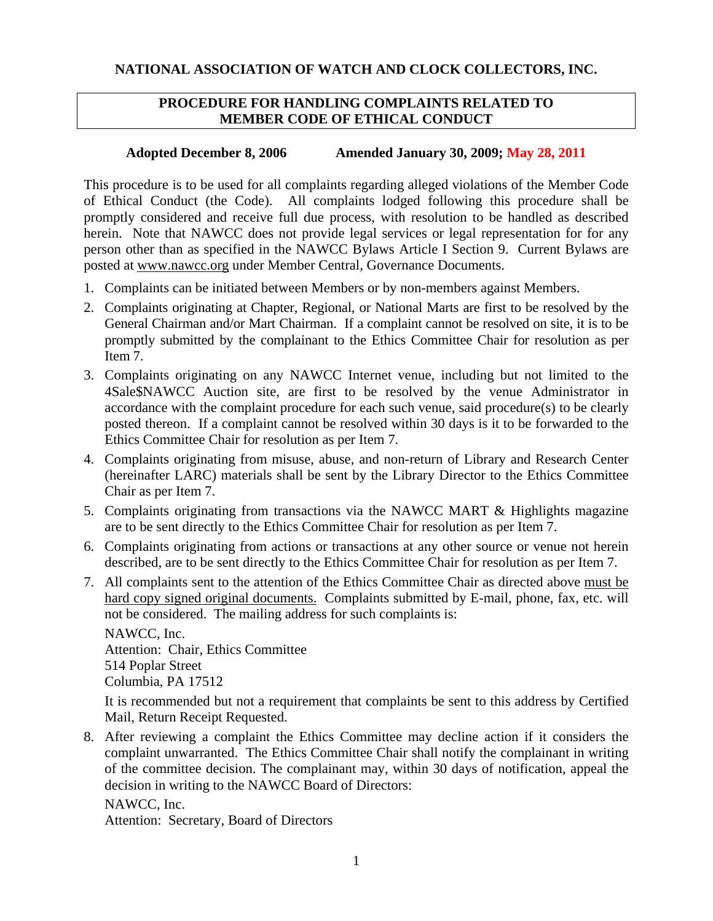## **PROCEDURE FOR HANDLING COMPLAINTS RELATED TO MEMBER CODE OF ETHICAL CONDUCT**

## **Adopted December 8, 2006 Amended January 30, 2009; May 28, 2011**

This procedure is to be used for all complaints regarding alleged violations of the Member Code of Ethical Conduct (the Code). All complaints lodged following this procedure shall be promptly considered and receive full due process, with resolution to be handled as described herein. Note that NAWCC does not provide legal services or legal representation for for any person other than as specified in the NAWCC Bylaws Article I Section 9. Current Bylaws are posted at [www.nawcc.org](http://www.nawcc.org/) under Member Central, Governance Documents.

- 1. Complaints can be initiated between Members or by non-members against Members.
- 2. Complaints originating at Chapter, Regional, or National Marts are first to be resolved by the General Chairman and/or Mart Chairman. If a complaint cannot be resolved on site, it is to be promptly submitted by the complainant to the Ethics Committee Chair for resolution as per Item 7.
- 3. Complaints originating on any NAWCC Internet venue, including but not limited to the 4Sale\$NAWCC Auction site, are first to be resolved by the venue Administrator in accordance with the complaint procedure for each such venue, said procedure(s) to be clearly posted thereon. If a complaint cannot be resolved within 30 days is it to be forwarded to the Ethics Committee Chair for resolution as per Item 7.
- 4. Complaints originating from misuse, abuse, and non-return of Library and Research Center (hereinafter LARC) materials shall be sent by the Library Director to the Ethics Committee Chair as per Item 7.
- 5. Complaints originating from transactions via the NAWCC MART & Highlights magazine are to be sent directly to the Ethics Committee Chair for resolution as per Item 7.
- 6. Complaints originating from actions or transactions at any other source or venue not herein described, are to be sent directly to the Ethics Committee Chair for resolution as per Item 7.
- 7. All complaints sent to the attention of the Ethics Committee Chair as directed above must be hard copy signed original documents. Complaints submitted by E-mail, phone, fax, etc. will not be considered. The mailing address for such complaints is:

NAWCC, Inc. Attention: Chair, Ethics Committee 514 Poplar Street Columbia, PA 17512

It is recommended but not a requirement that complaints be sent to this address by Certified Mail, Return Receipt Requested.

8. After reviewing a complaint the Ethics Committee may decline action if it considers the complaint unwarranted. The Ethics Committee Chair shall notify the complainant in writing of the committee decision. The complainant may, within 30 days of notification, appeal the decision in writing to the NAWCC Board of Directors:

NAWCC, Inc. Attention: Secretary, Board of Directors